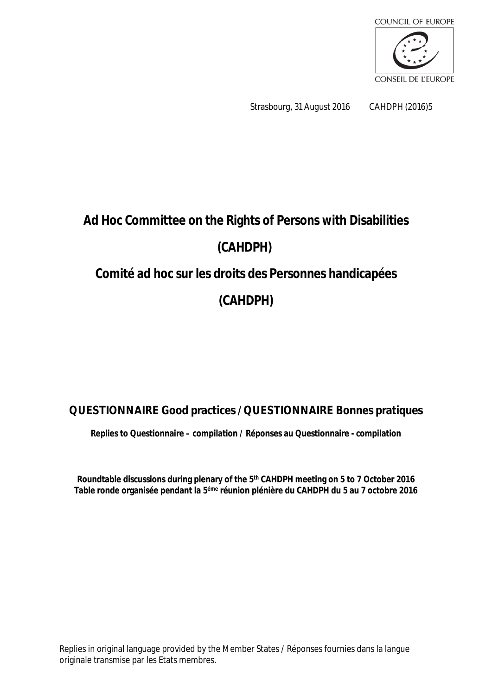

Strasbourg, 31 August 2016 CAHDPH (2016)5

# **Ad Hoc Committee on the Rights of Persons with Disabilities (CAHDPH) Comité ad hoc sur les droits des Personnes handicapées**

**(CAHDPH)**

## **QUESTIONNAIRE Good practices / QUESTIONNAIRE Bonnes pratiques**

**Replies to Questionnaire – compilation / Réponses au Questionnaire - compilation**

**Roundtable discussions during plenary of the 5 th CAHDPH meeting on 5 to 7 October 2016 Table ronde organisée pendant la 5 éme réunion plénière du CAHDPH du 5 au 7 octobre 2016**

Replies in original language provided by the Member States / Réponses fournies dans la langue originale transmise par les Etats membres.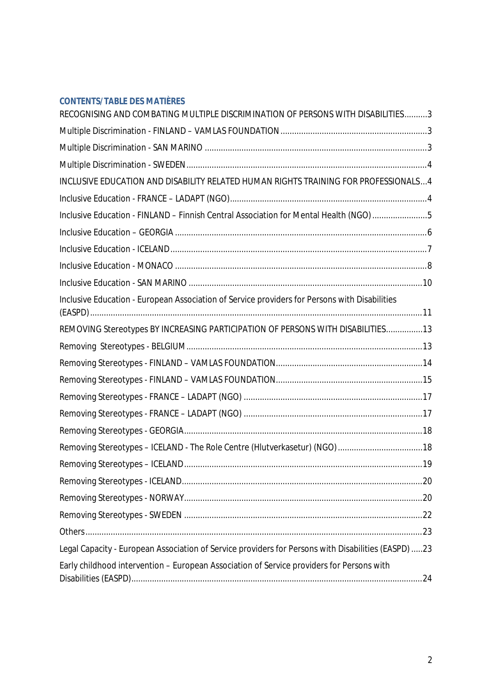#### **CONTENTS/TABLE DES MATIÈRES**

| RECOGNISING AND COMBATING MULTIPLE DISCRIMINATION OF PERSONS WITH DISABILITIES3                     |  |
|-----------------------------------------------------------------------------------------------------|--|
|                                                                                                     |  |
|                                                                                                     |  |
|                                                                                                     |  |
| INCLUSIVE EDUCATION AND DISABILITY RELATED HUMAN RIGHTS TRAINING FOR PROFESSIONALS4                 |  |
|                                                                                                     |  |
| Inclusive Education - FINLAND - Finnish Central Association for Mental Health (NGO)5                |  |
|                                                                                                     |  |
|                                                                                                     |  |
|                                                                                                     |  |
|                                                                                                     |  |
| Inclusive Education - European Association of Service providers for Persons with Disabilities       |  |
| REMOVING Stereotypes BY INCREASING PARTICIPATION OF PERSONS WITH DISABILITIES13                     |  |
|                                                                                                     |  |
|                                                                                                     |  |
|                                                                                                     |  |
|                                                                                                     |  |
|                                                                                                     |  |
|                                                                                                     |  |
| Removing Stereotypes - ICELAND - The Role Centre (Hlutverkasetur) (NGO) 18                          |  |
|                                                                                                     |  |
|                                                                                                     |  |
|                                                                                                     |  |
|                                                                                                     |  |
|                                                                                                     |  |
| Legal Capacity - European Association of Service providers for Persons with Disabilities (EASPD) 23 |  |
| Early childhood intervention - European Association of Service providers for Persons with           |  |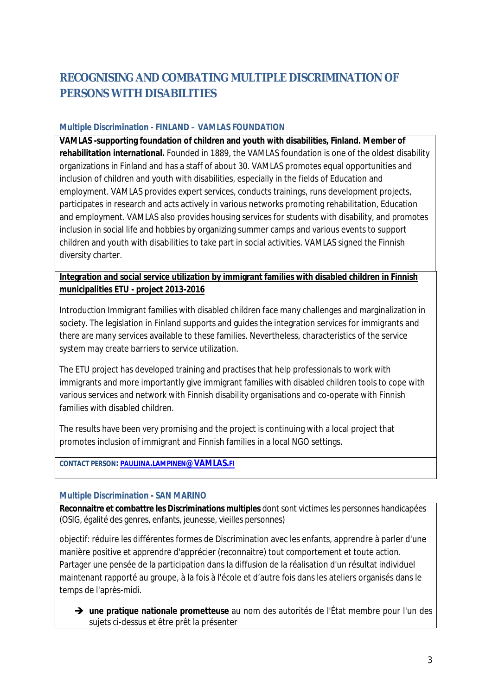# <span id="page-2-0"></span>**RECOGNISING AND COMBATING MULTIPLE DISCRIMINATION OF PERSONS WITH DISABILITIES**

#### <span id="page-2-1"></span>**Multiple Discrimination - FINLAND – VAMLAS FOUNDATION**

**VAMLAS -supporting foundation of children and youth with disabilities, Finland. Member of rehabilitation international.** Founded in 1889, the VAMLAS foundation is one of the oldest disability organizations in Finland and has a staff of about 30. VAMLAS promotes equal opportunities and inclusion of children and youth with disabilities, especially in the fields of Education and employment. VAMLAS provides expert services, conducts trainings, runs development projects, participates in research and acts actively in various networks promoting rehabilitation, Education and employment. VAMLAS also provides housing services for students with disability, and promotes inclusion in social life and hobbies by organizing summer camps and various events to support children and youth with disabilities to take part in social activities. VAMLAS signed the Finnish diversity charter.

**Integration and social service utilization by immigrant families with disabled children in Finnish municipalities ETU - project 2013-2016**

Introduction Immigrant families with disabled children face many challenges and marginalization in society. The legislation in Finland supports and guides the integration services for immigrants and there are many services available to these families. Nevertheless, characteristics of the service system may create barriers to service utilization.

The ETU project has developed training and practises that help professionals to work with immigrants and more importantly give immigrant families with disabled children tools to cope with various services and network with Finnish disability organisations and co-operate with Finnish families with disabled children.

The results have been very promising and the project is continuing with a local project that promotes inclusion of immigrant and Finnish families in a local NGO settings.

**CONTACT PERSON: PAULIINA.LAMPINEN[@VAMLAS.](mailto:pauliina.lampinen@vamlas.fi)FI**

#### <span id="page-2-2"></span>**Multiple Discrimination - SAN MARINO**

**Reconnaitre et combattre les Discriminations multiples** dont sont victimes les personnes handicapées (OSIG, égalité des genres, enfants, jeunesse, vieilles personnes)

objectif: réduire les différentes formes de Discrimination avec les enfants, apprendre à parler d'une manière positive et apprendre d'apprécier (reconnaitre) tout comportement et toute action. Partager une pensée de la participation dans la diffusion de la réalisation d'un résultat individuel maintenant rapporté au groupe, à la fois à l'école et d'autre fois dans les ateliers organisés dans le temps de l'après-midi.

 **une pratique nationale prometteuse** au nom des autorités de l'État membre pour l'un des sujets ci-dessus et être prêt la présenter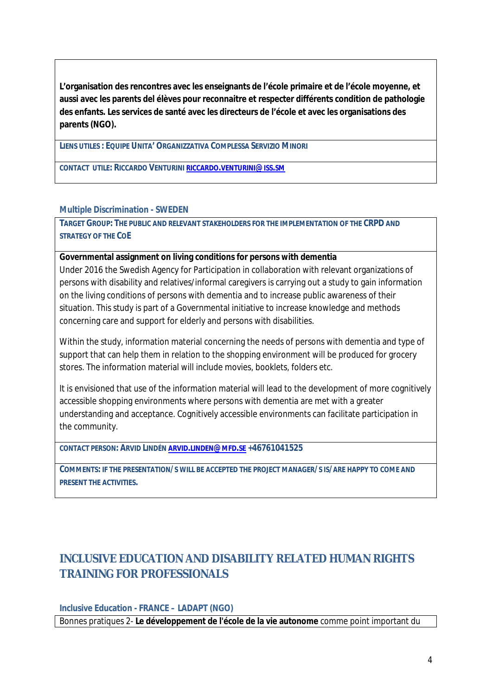**L'organisation des rencontres avec les enseignants de l'école primaire et de l'école moyenne, et aussi avec les parents del élèves pour reconnaitre et respecter différents condition de pathologie des enfants. Les services de santé avec les directeurs de l'école et avec les organisations des parents (NGO).**

**LIENS UTILES : EQUIPE UNITA' ORGANIZZATIVA COMPLESSA SERVIZIO MINORI**

**CONTACT UTILE: RICCARDO VENTURINI RICCARDO.[VENTURINI](mailto:riccardo.venturini@iss.sm)@ISS.SM**

#### <span id="page-3-0"></span>**Multiple Discrimination - SWEDEN**

**TARGET GROUP: THE PUBLIC AND RELEVANT STAKEHOLDERS FOR THE IMPLEMENTATION OF THE CRPD AND STRATEGY OF THE COE**

**Governmental assignment on living conditions for persons with dementia** Under 2016 the Swedish Agency for Participation in collaboration with relevant organizations of persons with disability and relatives/informal caregivers is carrying out a study to gain information on the living conditions of persons with dementia and to increase public awareness of their situation. This study is part of a Governmental initiative to increase knowledge and methods concerning care and support for elderly and persons with disabilities.

Within the study, information material concerning the needs of persons with dementia and type of support that can help them in relation to the shopping environment will be produced for grocery stores. The information material will include movies, booklets, folders etc.

It is envisioned that use of the information material will lead to the development of more cognitively accessible shopping environments where persons with dementia are met with a greater understanding and acceptance. Cognitively accessible environments can facilitate participation in the community.

**CONTACT PERSON: ARVID LINDÉN ARVID.[LINDEN](mailto:arvid.linden@mfd.se)@MFD.SE +46761041525**

COMMENTS: IF THE PRESENTATION/S WILL BE ACCEPTED THE PROJECT MANAGER/S IS/ARE HAPPY TO COME AND **PRESENT THE ACTIVITIES.**

# <span id="page-3-1"></span>**INCLUSIVE EDUCATION AND DISABILITY RELATED HUMAN RIGHTS TRAINING FOR PROFESSIONALS**

<span id="page-3-2"></span>**Inclusive Education - FRANCE – LADAPT (NGO)**

Bonnes pratiques 2- **Le développement de l'école de la vie autonome** comme point important du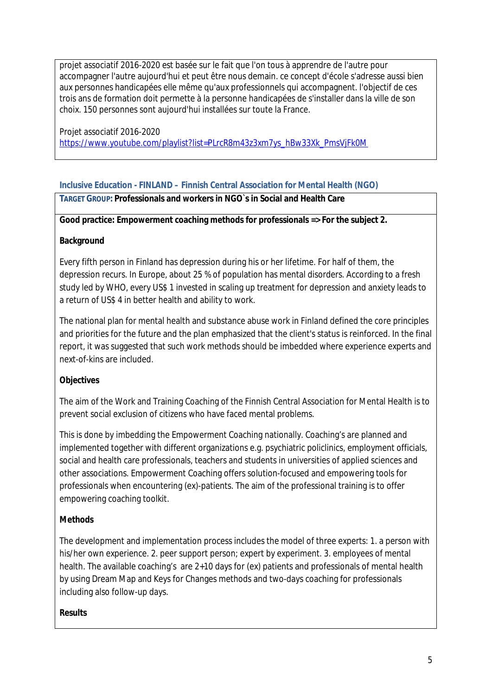projet associatif 2016-2020 est basée sur le fait que l'on tous à apprendre de l'autre pour accompagner l'autre aujourd'hui et peut être nous demain. ce concept d'école s'adresse aussi bien aux personnes handicapées elle même qu'aux professionnels qui accompagnent. l'objectif de ces trois ans de formation doit permette à la personne handicapées de s'installer dans la ville de son choix. 150 personnes sont aujourd'hui installées sur toute la France.

Projet associatif 2016-2020 [https://www.youtube.com/playlist?list=PLrcR8m43z3xm7ys\\_hBw33Xk\\_PmsVjFk0M](https://www.youtube.com/playlist?list=PLrcR8m43z3xm7ys_hBw33Xk_PmsVjFk0M)

#### <span id="page-4-0"></span>**Inclusive Education - FINLAND – Finnish Central Association for Mental Health (NGO)**

**TARGET GROUP: Professionals and workers in NGO`s in Social and Health Care**

**Good practice: Empowerment coaching methods for professionals => For the subject 2.**

#### **Background**

Every fifth person in Finland has depression during his or her lifetime. For half of them, the depression recurs. In Europe, about 25 % of population has mental disorders. According to a fresh study led by WHO, every US\$ 1 invested in scaling up treatment for depression and anxiety leads to a return of US\$ 4 in better health and ability to work.

The national plan for mental health and substance abuse work in Finland defined the core principles and priorities for the future and the plan emphasized that the client's status is reinforced. In the final report, it was suggested that such work methods should be imbedded where experience experts and next-of-kins are included.

**Objectives**

The aim of the Work and Training Coaching of the Finnish Central Association for Mental Health is to prevent social exclusion of citizens who have faced mental problems.

This is done by imbedding the Empowerment Coaching nationally. Coaching's are planned and implemented together with different organizations e.g. psychiatric policlinics, employment officials, social and health care professionals, teachers and students in universities of applied sciences and other associations. Empowerment Coaching offers solution-focused and empowering tools for professionals when encountering (ex)-patients. The aim of the professional training is to offer empowering coaching toolkit.

#### **Methods**

The development and implementation process includes the model of three experts: 1. a person with his/her own experience. 2. peer support person; expert by experiment. 3. employees of mental health. The available coaching's are 2+10 days for (ex) patients and professionals of mental health by using Dream Map and Keys for Changes methods and two-days coaching for professionals including also follow-up days.

**Results**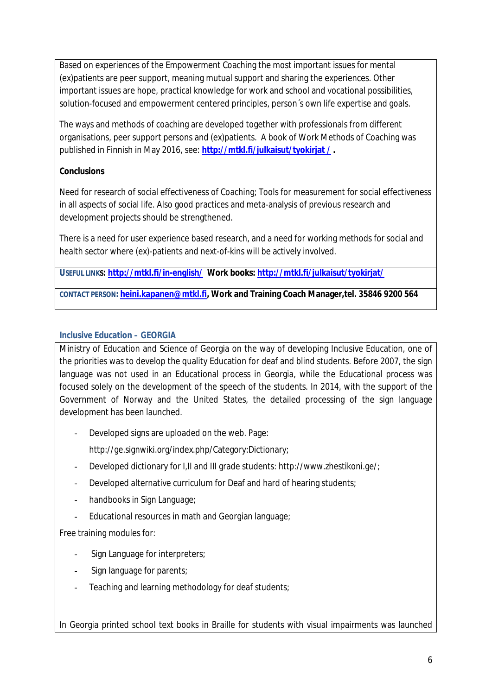Based on experiences of the Empowerment Coaching the most important issues for mental (ex)patients are peer support, meaning mutual support and sharing the experiences. Other important issues are hope, practical knowledge for work and school and vocational possibilities, solution-focused and empowerment centered principles, person´s own life expertise and goals.

The ways and methods of coaching are developed together with professionals from different organisations, peer support persons and (ex)patients. A book of Work Methods of Coaching was published in Finnish in May 2016, see: **[http://mtkl.fi/julkaisut/tyokirjat](http://mtkl.fi/julkaisut/tyokirjat%20/) / .**

#### **Conclusions**

Need for research of social effectiveness of Coaching; Tools for measurement for social effectiveness in all aspects of social life. Also good practices and meta-analysis of previous research and development projects should be strengthened.

There is a need for user experience based research, and a need for working methods for social and health sector where (ex)-patients and next-of-kins will be actively involved.

**USEFUL LINKS: <http://mtkl.fi/in-english/> Work books: <http://mtkl.fi/julkaisut/tyokirjat/>**

**CONTACT PERSON: [heini.kapanen@mtkl.fi](mailto:heini.kapanen@mtkl.fi), Work and Training Coach Manager,tel. 35846 9200 564**

#### <span id="page-5-0"></span>**Inclusive Education – GEORGIA**

Ministry of Education and Science of Georgia on the way of developing Inclusive Education, one of the priorities was to develop the quality Education for deaf and blind students. Before 2007, the sign language was not used in an Educational process in Georgia, while the Educational process was focused solely on the development of the speech of the students. In 2014, with the support of the Government of Norway and the United States, the detailed processing of the sign language development has been launched.

Developed signs are uploaded on the web. Page:

[http://ge.signwiki.org/index.php/Category:Dictionary;](http://ge.signwiki.org/index.php/Category:Dictionary)

- Developed dictionary for I,II and III grade students: [http://www.zhestikoni.ge/;](http://www.zhestikoni.ge/)
- Developed alternative curriculum for Deaf and hard of hearing students;
- handbooks in Sign Language;
- Educational resources in math and Georgian language;

Free training modules for:

- Sign Language for interpreters;
- Sign language for parents;
- Teaching and learning methodology for deaf students;

In Georgia printed school text books in Braille for students with visual impairments was launched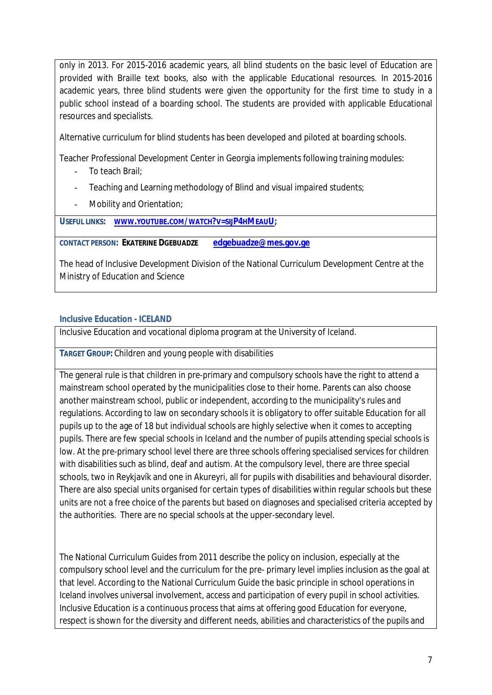only in 2013. For 2015-2016 academic years, all blind students on the basic level of Education are provided with Braille text books, also with the applicable Educational resources. In 2015-2016 academic years, three blind students were given the opportunity for the first time to study in a public school instead of a boarding school. The students are provided with applicable Educational resources and specialists.

Alternative curriculum for blind students has been developed and piloted at boarding schools.

Teacher Professional Development Center in Georgia implements following training modules:

- To teach Brail:
- Teaching and Learning methodology of Blind and visual impaired students;
- Mobility and Orientation;

**USEFUL LINKS: WWW.[YOUTUBE](http://www.youtube.com/watch?v=sijP4hMeauU).COM/WATCH?V=SIJP4HMEAUU;** 

**CONTACT PERSON: EKATERINE DGEBUADZE [edgebuadze@mes.gov.ge](mailto:edgebuadze@mes.gov.ge)**

The head of Inclusive Development Division of the National Curriculum Development Centre at the Ministry of Education and Science

#### <span id="page-6-0"></span>**Inclusive Education - ICELAND**

Inclusive Education and vocational diploma program at the University of Iceland.

**TARGET GROUP:** Children and young people with disabilities

The general rule is that children in pre-primary and compulsory schools have the right to attend a mainstream school operated by the municipalities close to their home. Parents can also choose another mainstream school, public or independent, according to the municipality's rules and regulations. According to law on secondary schools it is obligatory to offer suitable Education for all pupils up to the age of 18 but individual schools are highly selective when it comes to accepting pupils. There are few special schools in Iceland and the number of pupils attending special schools is low. At the pre-primary school level there are three schools offering specialised services for children with disabilities such as blind, deaf and autism. At the compulsory level, there are three special schools, two in Reykjavík and one in Akureyri, all for pupils with disabilities and behavioural disorder. There are also special units organised for certain types of disabilities within regular schools but these units are not a free choice of the parents but based on diagnoses and specialised criteria accepted by the authorities. There are no special schools at the upper-secondary level.

The National Curriculum Guides from 2011 describe the policy on inclusion, especially at the compulsory school level and the curriculum for the pre- primary level implies inclusion as the goal at that level. According to the National Curriculum Guide the basic principle in school operations in Iceland involves universal involvement, access and participation of every pupil in school activities. Inclusive Education is a continuous process that aims at offering good Education for everyone, respect is shown for the diversity and different needs, abilities and characteristics of the pupils and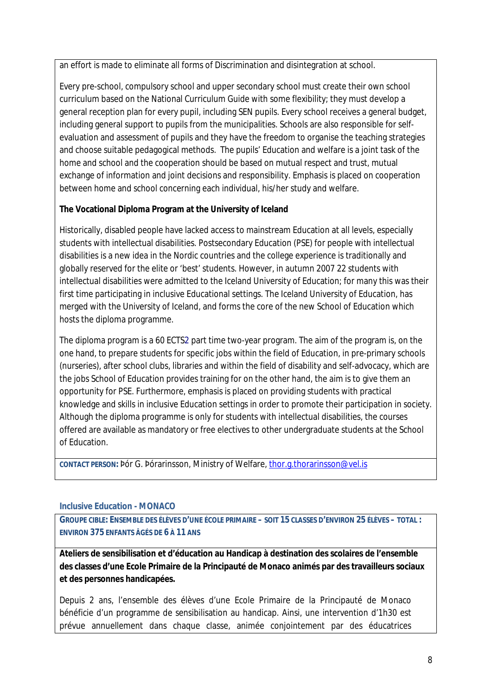an effort is made to eliminate all forms of Discrimination and disintegration at school.

Every pre-school, compulsory school and upper secondary school must create their own school curriculum based on the National Curriculum Guide with some flexibility; they must develop a general reception plan for every pupil, including SEN pupils. Every school receives a general budget, including general support to pupils from the municipalities. Schools are also responsible for selfevaluation and assessment of pupils and they have the freedom to organise the teaching strategies and choose suitable pedagogical methods. The pupils' Education and welfare is a joint task of the home and school and the cooperation should be based on mutual respect and trust, mutual exchange of information and joint decisions and responsibility. Emphasis is placed on cooperation between home and school concerning each individual, his/her study and welfare.

**The Vocational Diploma Program at the University of Iceland**

Historically, disabled people have lacked access to mainstream Education at all levels, especially students with intellectual disabilities. Postsecondary Education (PSE) for people with intellectual disabilities is a new idea in the Nordic countries and the college experience is traditionally and globally reserved for the elite or 'best' students. However, in autumn 2007 22 students with intellectual disabilities were admitted to the Iceland University of Education; for many this was their first time participating in inclusive Educational settings. The Iceland University of Education, has merged with the University of Iceland, and forms the core of the new School of Education which hosts the diploma programme.

The diploma program is a 60 ECTS2 part time two-year program. The aim of the program is, on the one hand, to prepare students for specific jobs within the field of Education, in pre-primary schools (nurseries), after school clubs, libraries and within the field of disability and self-advocacy, which are the jobs School of Education provides training for on the other hand, the aim is to give them an opportunity for PSE. Furthermore, emphasis is placed on providing students with practical knowledge and skills in inclusive Education settings in order to promote their participation in society. Although the diploma programme is only for students with intellectual disabilities, the courses offered are available as mandatory or free electives to other undergraduate students at the School of Education.

**CONTACT PERSON:** Þór G. Þórarinsson, Ministry of Welfare, [thor.g.thorarinsson@vel.is](mailto:thor.g.thorarinsson@vel.is)

#### <span id="page-7-0"></span>**Inclusive Education - MONACO**

GROUPE CIBLE: ENSEMBLE DES ÉLÈVES D'UNE ÉCOLE PRIMAIRE - SOIT 15 CLASSES D'ENVIRON 25 ÉLÈVES - TOTAL : **ENVIRON 375 ENFANTS ÂGÉS DE 6 À 11 ANS**

**Ateliers de sensibilisation et d'éducation au Handicap à destination des scolaires de l'ensemble des classes d'une Ecole Primaire de la Principauté de Monaco animés par des travailleurs sociaux et des personnes handicapées.**

Depuis 2 ans, l'ensemble des élèves d'une Ecole Primaire de la Principauté de Monaco bénéficie d'un programme de sensibilisation au handicap. Ainsi, une intervention d'1h30 est prévue annuellement dans chaque classe, animée conjointement par des éducatrices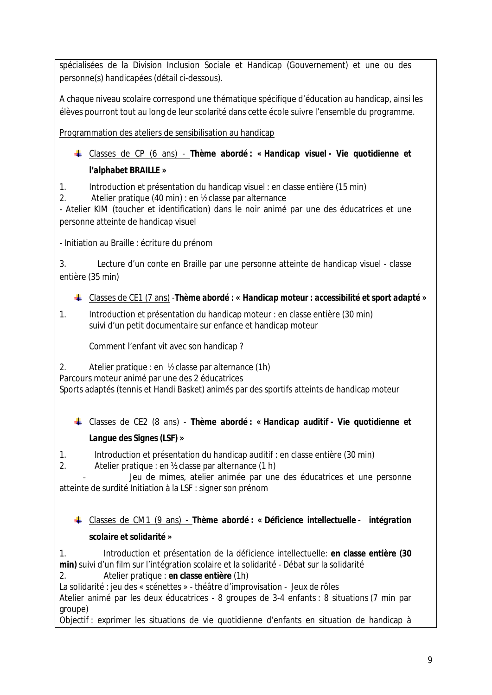spécialisées de la Division Inclusion Sociale et Handicap (Gouvernement) et une ou des personne(s) handicapées (détail ci-dessous).

A chaque niveau scolaire correspond une thématique spécifique d'éducation au handicap, ainsi les élèves pourront tout au long de leur scolarité dans cette école suivre l'ensemble du programme.

Programmation des ateliers de sensibilisation au handicap

Classes de CP (6 ans) - *Thème abordé : « Handicap visuel - Vie quotidienne et l'alphabet BRAILLE »*

1. Introduction et présentation du handicap visuel : en classe entière (15 min)

2. Atelier pratique (40 min) : en ½ classe par alternance

- Atelier KIM (toucher et identification) dans le noir animé par une des éducatrices et une personne atteinte de handicap visuel

- Initiation au Braille : écriture du prénom

3. Lecture d'un conte en Braille par une personne atteinte de handicap visuel - classe entière (35 min)

Classes de CE1 (7 ans) -*Thème abordé : « Handicap moteur : accessibilité et sport adapté »*

1. Introduction et présentation du handicap moteur : en classe entière (30 min) suivi d'un petit documentaire sur enfance et handicap moteur

Comment l'enfant vit avec son handicap ?

2. Atelier pratique : en ½ classe par alternance (1h)

Parcours moteur animé par une des 2 éducatrices

- Sports adaptés (tennis et Handi Basket) animés par des sportifs atteints de handicap moteur

Classes de CE2 (8 ans) - *Thème abordé : « Handicap auditif - Vie quotidienne et Langue des Signes (LSF) »*

1. Introduction et présentation du handicap auditif : en classe entière (30 min)

2. Atelier pratique : en ½ classe par alternance (1 h)

Jeu de mimes, atelier animée par une des éducatrices et une personne atteinte de surdité Initiation à la LSF : signer son prénom

Classes de CM1 (9 ans) - *Thème abordé : « Déficience intellectuelle - intégration scolaire et solidarité »*

1. Introduction et présentation de la déficience intellectuelle: **en classe entière (30 min)** suivi d'un film sur l'intégration scolaire et la solidarité - Débat sur la solidarité 2. Atelier pratique : **en classe entière** (1h)

La solidarité : jeu des « scénettes » - théâtre d'improvisation - Jeux de rôles

- Atelier animé par les deux éducatrices - 8 groupes de 3-4 enfants : 8 situations (7 min par groupe)

Objectif : exprimer les situations de vie quotidienne d'enfants en situation de handicap à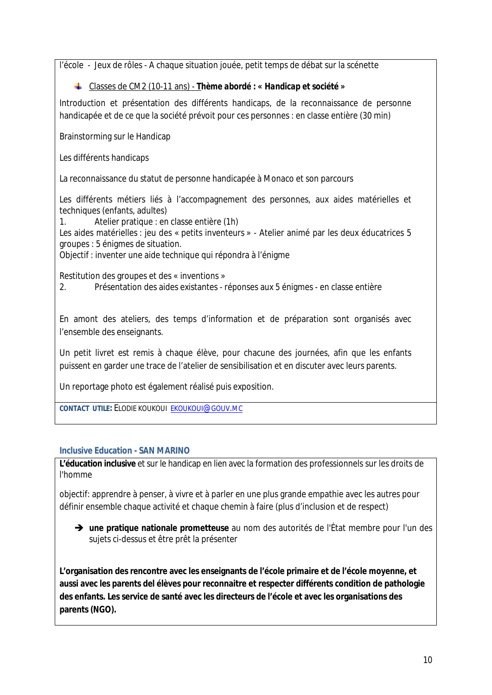l'école - Jeux de rôles - A chaque situation jouée, petit temps de débat sur la scénette

Classes de CM2 (10-11 ans) - *Thème abordé : « Handicap et société »*

Introduction et présentation des différents handicaps, de la reconnaissance de personne handicapée et de ce que la société prévoit pour ces personnes : en classe entière (30 min)

Brainstorming sur le Handicap

Les différents handicaps

La reconnaissance du statut de personne handicapée à Monaco et son parcours

Les différents métiers liés à l'accompagnement des personnes, aux aides matérielles et techniques (enfants, adultes)

1. Atelier pratique : en classe entière (1h) Les aides matérielles : jeu des « petits inventeurs » - Atelier animé par les deux éducatrices 5 groupes : 5 énigmes de situation.

Objectif : inventer une aide technique qui répondra à l'énigme

Restitution des groupes et des « inventions »

2. Présentation des aides existantes - réponses aux 5 énigmes - en classe entière

En amont des ateliers, des temps d'information et de préparation sont organisés avec l'ensemble des enseignants.

Un petit livret est remis à chaque élève, pour chacune des journées, afin que les enfants puissent en garder une trace de l'atelier de sensibilisation et en discuter avec leurs parents.

Un reportage photo est également réalisé puis exposition.

**CONTACT UTILE:** ELODIE KOUKOUI [EKOUKOUI](mailto:ekoukoui@gouv.mc)@GOUV.MC

#### <span id="page-9-0"></span>**Inclusive Education - SAN MARINO**

**L'éducation inclusive** et sur le handicap en lien avec la formation des professionnels sur les droits de l'homme

objectif: apprendre à penser, à vivre et à parler en une plus grande empathie avec les autres pour définir ensemble chaque activité et chaque chemin à faire (plus d'inclusion et de respect)

 **une pratique nationale prometteuse** au nom des autorités de l'État membre pour l'un des sujets ci-dessus et être prêt la présenter

**L'organisation des rencontre avec les enseignants de l'école primaire et de l'école moyenne, et aussi avec les parents del élèves pour reconnaitre et respecter différents condition de pathologie des enfants. Les service de santé avec les directeurs de l'école et avec les organisations des parents (NGO).**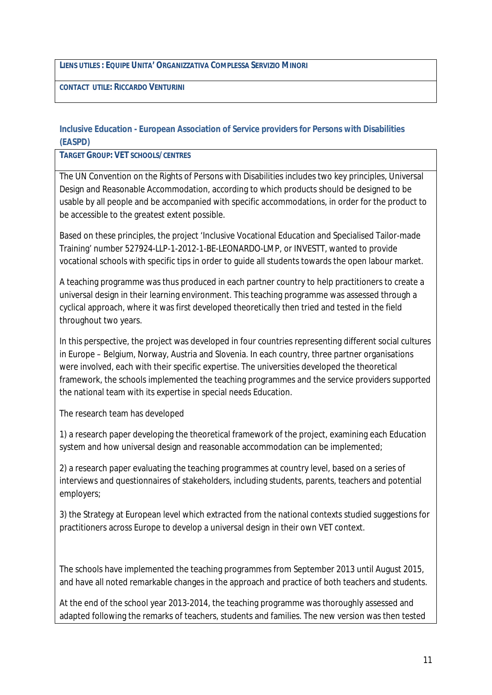**LIENS UTILES : EQUIPE UNITA' ORGANIZZATIVA COMPLESSA SERVIZIO MINORI**

**CONTACT UTILE: RICCARDO VENTURINI**

#### <span id="page-10-0"></span>**Inclusive Education - European Association of Service providers for Persons with Disabilities (EASPD)**

**TARGET GROUP: VET SCHOOLS/CENTRES**

The UN Convention on the Rights of Persons with Disabilities includes two key principles, Universal Design and Reasonable Accommodation, according to which products should be designed to be usable by all people and be accompanied with specific accommodations, in order for the product to be accessible to the greatest extent possible.

Based on these principles, the project 'Inclusive Vocational Education and Specialised Tailor-made Training' number 527924-LLP-1-2012-1-BE-LEONARDO-LMP, or INVESTT, wanted to provide vocational schools with specific tips in order to guide all students towards the open labour market.

A teaching programme was thus produced in each partner country to help practitioners to create a universal design in their learning environment. This teaching programme was assessed through a cyclical approach, where it was first developed theoretically then tried and tested in the field throughout two years.

In this perspective, the project was developed in four countries representing different social cultures in Europe – Belgium, Norway, Austria and Slovenia. In each country, three partner organisations were involved, each with their specific expertise. The universities developed the theoretical framework, the schools implemented the teaching programmes and the service providers supported the national team with its expertise in special needs Education.

The research team has developed

1) a research paper developing the theoretical framework of the project, examining each Education system and how universal design and reasonable accommodation can be implemented;

2) a research paper evaluating the teaching programmes at country level, based on a series of interviews and questionnaires of stakeholders, including students, parents, teachers and potential employers;

3) the Strategy at European level which extracted from the national contexts studied suggestions for practitioners across Europe to develop a universal design in their own VET context.

The schools have implemented the teaching programmes from September 2013 until August 2015, and have all noted remarkable changes in the approach and practice of both teachers and students.

At the end of the school year 2013-2014, the teaching programme was thoroughly assessed and adapted following the remarks of teachers, students and families. The new version was then tested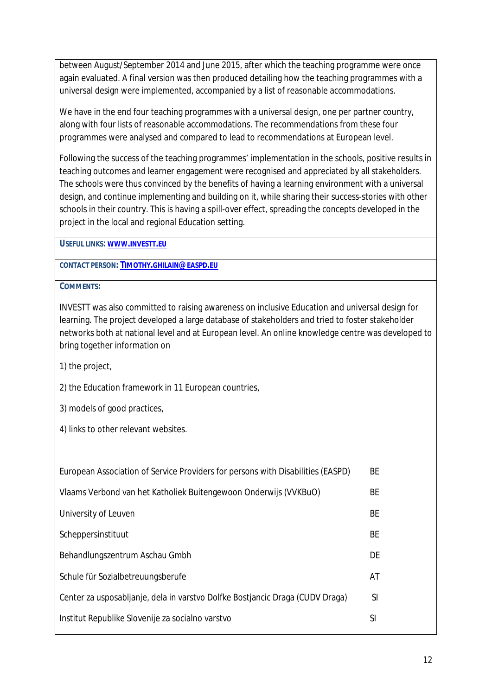between August/September 2014 and June 2015, after which the teaching programme were once again evaluated. A final version was then produced detailing how the teaching programmes with a universal design were implemented, accompanied by a list of reasonable accommodations.

We have in the end four teaching programmes with a universal design, one per partner country, along with four lists of reasonable accommodations. The recommendations from these four programmes were analysed and compared to lead to recommendations at European level.

Following the success of the teaching programmes' implementation in the schools, positive results in teaching outcomes and learner engagement were recognised and appreciated by all stakeholders. The schools were thus convinced by the benefits of having a learning environment with a universal design, and continue implementing and building on it, while sharing their success-stories with other schools in their country. This is having a spill-over effect, spreading the concepts developed in the project in the local and regional Education setting.

**USEFUL LINKS: WWW.[INVESTT](http://www.investt.eu).EU** 

**CONTACT PERSON: TIMOTHY.[GHILAIN](mailto:Timothy.ghilain@easpd.eu)@EASPD.EU**

**COMMENTS:**

INVESTT was also committed to raising awareness on inclusive Education and universal design for learning. The project developed a large database of stakeholders and tried to foster stakeholder networks both at national level and at European level. An online knowledge centre was developed to bring together information on

1) the project,

2) the Education framework in 11 European countries,

3) models of good practices,

4) links to other relevant websites.

| European Association of Service Providers for persons with Disabilities (EASPD) | <b>BE</b> |
|---------------------------------------------------------------------------------|-----------|
| Vlaams Verbond van het Katholiek Buitengewoon Onderwijs (VVKBuO)                | ВE        |
| University of Leuven                                                            | <b>BE</b> |
| Scheppersinstituut                                                              | <b>BE</b> |
| Behandlungszentrum Aschau Gmbh                                                  | DE        |
| Schule für Sozialbetreuungsberufe                                               | AT        |
| Center za usposabljanje, dela in varstvo Dolfke Bostjancic Draga (CUDV Draga)   | <b>SI</b> |
| Institut Republike Slovenije za socialno varstvo                                | SI        |
|                                                                                 |           |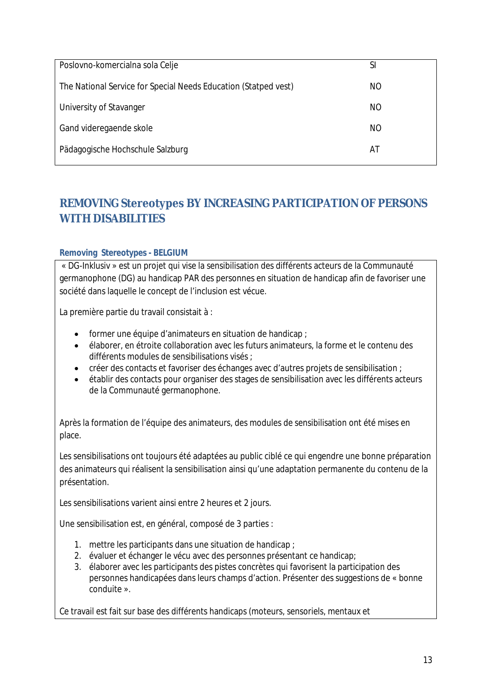| Poslovno-komercialna sola Celje                                 | SI  |
|-----------------------------------------------------------------|-----|
| The National Service for Special Needs Education (Statped vest) | NO. |
| University of Stavanger                                         | ΝO  |
| Gand videregaende skole                                         | NO  |
| Pädagogische Hochschule Salzburg                                | AT  |

# <span id="page-12-0"></span>**REMOVING Stereotypes BY INCREASING PARTICIPATION OF PERSONS WITH DISABILITIES**

#### <span id="page-12-1"></span>**Removing Stereotypes - BELGIUM**

« DG-Inklusiv » est un projet qui vise la sensibilisation des différents acteurs de la Communauté germanophone (DG) au handicap PAR des personnes en situation de handicap afin de favoriser une société dans laquelle le concept de l'inclusion est vécue.

La première partie du travail consistait à :

- former une équipe d'animateurs en situation de handicap ;
- élaborer, en étroite collaboration avec les futurs animateurs, la forme et le contenu des différents modules de sensibilisations visés ;
- créer des contacts et favoriser des échanges avec d'autres projets de sensibilisation ;
- établir des contacts pour organiser des stages de sensibilisation avec les différents acteurs de la Communauté germanophone.

Après la formation de l'équipe des animateurs, des modules de sensibilisation ont été mises en place.

Les sensibilisations ont toujours été adaptées au public ciblé ce qui engendre une bonne préparation des animateurs qui réalisent la sensibilisation ainsi qu'une adaptation permanente du contenu de la présentation.

Les sensibilisations varient ainsi entre 2 heures et 2 jours.

Une sensibilisation est, en général, composé de 3 parties :

- 1. mettre les participants dans une situation de handicap ;
- 2. évaluer et échanger le vécu avec des personnes présentant ce handicap;
- 3. élaborer avec les participants des pistes concrètes qui favorisent la participation des personnes handicapées dans leurs champs d'action. Présenter des suggestions de « bonne conduite ».

Ce travail est fait sur base des différents handicaps (moteurs, sensoriels, mentaux et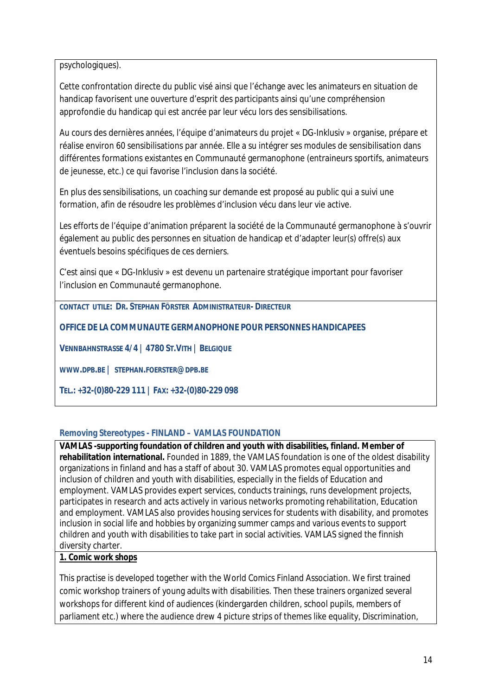psychologiques).

Cette confrontation directe du public visé ainsi que l'échange avec les animateurs en situation de handicap favorisent une ouverture d'esprit des participants ainsi qu'une compréhension approfondie du handicap qui est ancrée par leur vécu lors des sensibilisations.

Au cours des dernières années, l'équipe d'animateurs du projet « DG-Inklusiv » organise, prépare et réalise environ 60 sensibilisations par année. Elle a su intégrer ses modules de sensibilisation dans différentes formations existantes en Communauté germanophone (entraineurs sportifs, animateurs de jeunesse, etc.) ce qui favorise l'inclusion dans la société.

En plus des sensibilisations, un coaching sur demande est proposé au public qui a suivi une formation, afin de résoudre les problèmes d'inclusion vécu dans leur vie active.

Les efforts de l'équipe d'animation préparent la société de la Communauté germanophone à s'ouvrir également au public des personnes en situation de handicap et d'adapter leur(s) offre(s) aux éventuels besoins spécifiques de ces derniers.

C'est ainsi que « DG-Inklusiv » est devenu un partenaire stratégique important pour favoriser l'inclusion en Communauté germanophone.

**CONTACT UTILE: DR. STEPHAN FÖRSTER ADMINISTRATEUR- DIRECTEUR**

**OFFICE DE LA COMMUNAUTE GERMANOPHONE POUR PERSONNES HANDICAPEES**

**VENNBAHNSTRASSE 4/4 | 4780 ST.VITH | BELGIQUE**

**[WWW](http://www.dpb.be/).DPB.BE | STEPHAN.[FOERSTER](mailto:stephan.foerster@dpb.be)@DPB.BE**

**TEL.: +32-(0)80-229 111 | FAX: +32-(0)80-229 098**

#### <span id="page-13-0"></span>**Removing Stereotypes - FINLAND – VAMLAS FOUNDATION**

**VAMLAS -supporting foundation of children and youth with disabilities, finland. Member of rehabilitation international.** Founded in 1889, the VAMLAS foundation is one of the oldest disability organizations in finland and has a staff of about 30. VAMLAS promotes equal opportunities and inclusion of children and youth with disabilities, especially in the fields of Education and employment. VAMLAS provides expert services, conducts trainings, runs development projects, participates in research and acts actively in various networks promoting rehabilitation, Education and employment. VAMLAS also provides housing services for students with disability, and promotes inclusion in social life and hobbies by organizing summer camps and various events to support children and youth with disabilities to take part in social activities. VAMLAS signed the finnish diversity charter.

#### **1. Comic work shops**

This practise is developed together with the World Comics Finland Association. We first trained comic workshop trainers of young adults with disabilities. Then these trainers organized several workshops for different kind of audiences (kindergarden children, school pupils, members of parliament etc.) where the audience drew 4 picture strips of themes like equality, Discrimination,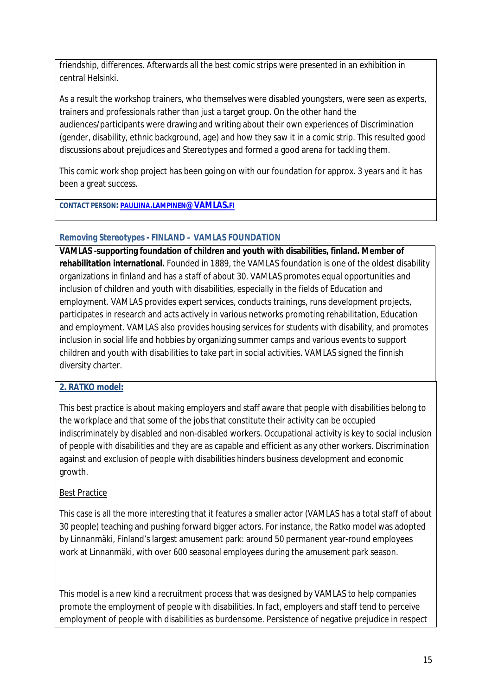friendship, differences. Afterwards all the best comic strips were presented in an exhibition in central Helsinki.

As a result the workshop trainers, who themselves were disabled youngsters, were seen as experts, trainers and professionals rather than just a target group. On the other hand the audiences/participants were drawing and writing about their own experiences of Discrimination (gender, disability, ethnic background, age) and how they saw it in a comic strip. This resulted good discussions about prejudices and Stereotypes and formed a good arena for tackling them.

This comic work shop project has been going on with our foundation for approx. 3 years and it has been a great success.

**CONTACT PERSON: PAULIINA.LAMPINEN[@VAMLAS.](mailto:pauliina.lampinen@vamlas.fi)FI**

#### <span id="page-14-0"></span>**Removing Stereotypes - FINLAND – VAMLAS FOUNDATION**

**VAMLAS -supporting foundation of children and youth with disabilities, finland. Member of rehabilitation international.** Founded in 1889, the VAMLAS foundation is one of the oldest disability organizations in finland and has a staff of about 30. VAMLAS promotes equal opportunities and inclusion of children and youth with disabilities, especially in the fields of Education and employment. VAMLAS provides expert services, conducts trainings, runs development projects, participates in research and acts actively in various networks promoting rehabilitation, Education and employment. VAMLAS also provides housing services for students with disability, and promotes inclusion in social life and hobbies by organizing summer camps and various events to support children and youth with disabilities to take part in social activities. VAMLAS signed the finnish diversity charter.

#### **2. RATKO model:**

This best practice is about making employers and staff aware that people with disabilities belong to the workplace and that some of the jobs that constitute their activity can be occupied indiscriminately by disabled and non-disabled workers. Occupational activity is key to social inclusion of people with disabilities and they are as capable and efficient as any other workers. Discrimination against and exclusion of people with disabilities hinders business development and economic growth.

#### Best Practice

This case is all the more interesting that it features a smaller actor (VAMLAS has a total staff of about 30 people) teaching and pushing forward bigger actors. For instance, the Ratko model was adopted by Linnanmäki, Finland's largest amusement park: around 50 permanent year-round employees work at Linnanmäki, with over 600 seasonal employees during the amusement park season.

This model is a new kind a recruitment process that was designed by VAMLAS to help companies promote the employment of people with disabilities. In fact, employers and staff tend to perceive employment of people with disabilities as burdensome. Persistence of negative prejudice in respect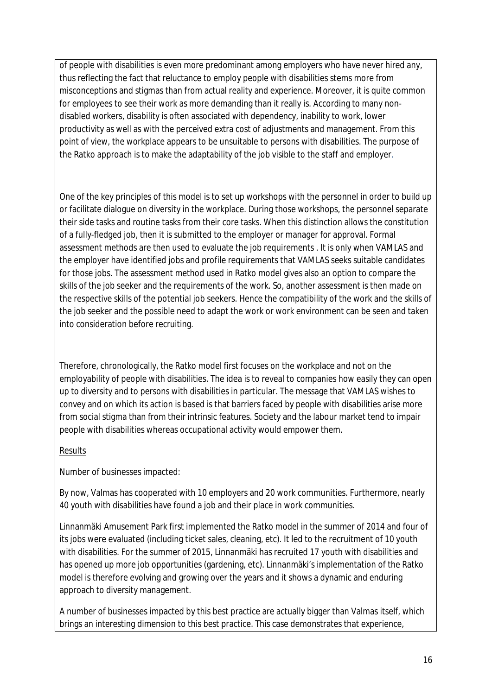of people with disabilities is even more predominant among employers who have never hired any, thus reflecting the fact that reluctance to employ people with disabilities stems more from misconceptions and stigmas than from actual reality and experience. Moreover, it is quite common for employees to see their work as more demanding than it really is. According to many nondisabled workers, disability is often associated with dependency, inability to work, lower productivity as well as with the perceived extra cost of adjustments and management. From this point of view, the workplace appears to be unsuitable to persons with disabilities. The purpose of the Ratko approach is to make the adaptability of the job visible to the staff and employer.

One of the key principles of this model is to set up workshops with the personnel in order to build up or facilitate dialogue on diversity in the workplace. During those workshops, the personnel separate their side tasks and routine tasks from their core tasks. When this distinction allows the constitution of a fully-fledged job, then it is submitted to the employer or manager for approval. Formal assessment methods are then used to evaluate the job requirements . It is only when VAMLAS and the employer have identified jobs and profile requirements that VAMLAS seeks suitable candidates for those jobs. The assessment method used in Ratko model gives also an option to compare the skills of the job seeker and the requirements of the work. So, another assessment is then made on the respective skills of the potential job seekers. Hence the compatibility of the work and the skills of the job seeker and the possible need to adapt the work or work environment can be seen and taken into consideration before recruiting.

Therefore, chronologically, the Ratko model first focuses on the workplace and not on the employability of people with disabilities. The idea is to reveal to companies how easily they can open up to diversity and to persons with disabilities in particular. The message that VAMLAS wishes to convey and on which its action is based is that barriers faced by people with disabilities arise more from social stigma than from their intrinsic features. Society and the labour market tend to impair people with disabilities whereas occupational activity would empower them.

#### Results

Number of businesses impacted:

By now, Valmas has cooperated with 10 employers and 20 work communities. Furthermore, nearly 40 youth with disabilities have found a job and their place in work communities.

Linnanmäki Amusement Park first implemented the Ratko model in the summer of 2014 and four of its jobs were evaluated (including ticket sales, cleaning, etc). It led to the recruitment of 10 youth with disabilities. For the summer of 2015, Linnanmäki has recruited 17 youth with disabilities and has opened up more job opportunities (gardening, etc). Linnanmäki's implementation of the Ratko model is therefore evolving and growing over the years and it shows a dynamic and enduring approach to diversity management.

A number of businesses impacted by this best practice are actually bigger than Valmas itself, which brings an interesting dimension to this best practice. This case demonstrates that experience,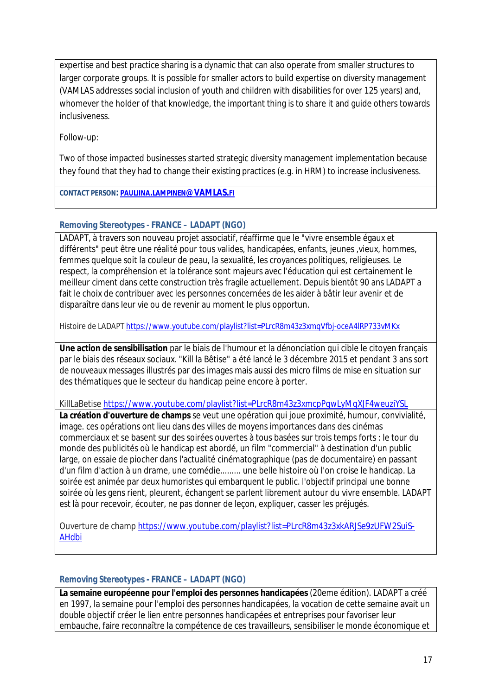expertise and best practice sharing is a dynamic that can also operate from smaller structures to larger corporate groups. It is possible for smaller actors to build expertise on diversity management (VAMLAS addresses social inclusion of youth and children with disabilities for over 125 years) and, whomever the holder of that knowledge, the important thing is to share it and guide others towards inclusiveness.

Follow-up:

Two of those impacted businesses started strategic diversity management implementation because they found that they had to change their existing practices (e.g. in HRM) to increase inclusiveness.

**CONTACT PERSON: PAULIINA.LAMPINEN[@VAMLAS.](mailto:pauliina.lampinen@vamlas.fi)FI**

#### <span id="page-16-0"></span>**Removing Stereotypes - FRANCE – LADAPT (NGO)**

LADAPT, à travers son nouveau projet associatif, réaffirme que le "vivre ensemble égaux et différents" peut être une réalité pour tous valides, handicapées, enfants, jeunes ,vieux, hommes, femmes quelque soit la couleur de peau, la sexualité, les croyances politiques, religieuses. Le respect, la compréhension et la tolérance sont majeurs avec l'éducation qui est certainement le meilleur ciment dans cette construction très fragile actuellement. Depuis bientôt 90 ans LADAPT a fait le choix de contribuer avec les personnes concernées de les aider à bâtir leur avenir et de disparaître dans leur vie ou de revenir au moment le plus opportun.

Histoire de LADAPT <https://www.youtube.com/playlist?list=PLrcR8m43z3xmqVfbj-oceA4lRP733vMKx>

**Une action de sensibilisation** par le biais de l'humour et la dénonciation qui cible le citoyen français par le biais des réseaux sociaux. "Kill la Bêtise" a été lancé le 3 décembre 2015 et pendant 3 ans sort de nouveaux messages illustrés par des images mais aussi des micro films de mise en situation sur des thématiques que le secteur du handicap peine encore à porter.

KillLaBetise <https://www.youtube.com/playlist?list=PLrcR8m43z3xmcpPqwLyMqXJF4weuziYSL>

**La création d'ouverture de champs** se veut une opération qui joue proximité, humour, convivialité, image. ces opérations ont lieu dans des villes de moyens importances dans des cinémas commerciaux et se basent sur des soirées ouvertes à tous basées sur trois temps forts : le tour du monde des publicités où le handicap est abordé, un film "commercial" à destination d'un public large, on essaie de piocher dans l'actualité cinématographique (pas de documentaire) en passant d'un film d'action à un drame, une comédie......... une belle histoire où l'on croise le handicap. La soirée est animée par deux humoristes qui embarquent le public. l'objectif principal une bonne soirée où les gens rient, pleurent, échangent se parlent librement autour du vivre ensemble. LADAPT est là pour recevoir, écouter, ne pas donner de leçon, expliquer, casser les préjugés.

Ouverture de champ [https://www.youtube.com/playlist?list=PLrcR8m43z3xkARJSe9zUFW2SuiS-](https://www.youtube.com/playlist?list=PLrcR8m43z3xkARJSe9zUFW2SuiS-AHdbi)[AHdbi](https://www.youtube.com/playlist?list=PLrcR8m43z3xkARJSe9zUFW2SuiS-AHdbi)

#### <span id="page-16-1"></span>**Removing Stereotypes - FRANCE – LADAPT (NGO)**

**La semaine européenne pour l'emploi des personnes handicapées** (20eme édition). LADAPT a créé en 1997, la semaine pour l'emploi des personnes handicapées, la vocation de cette semaine avait un double objectif créer le lien entre personnes handicapées et entreprises pour favoriser leur embauche, faire reconnaître la compétence de ces travailleurs, sensibiliser le monde économique et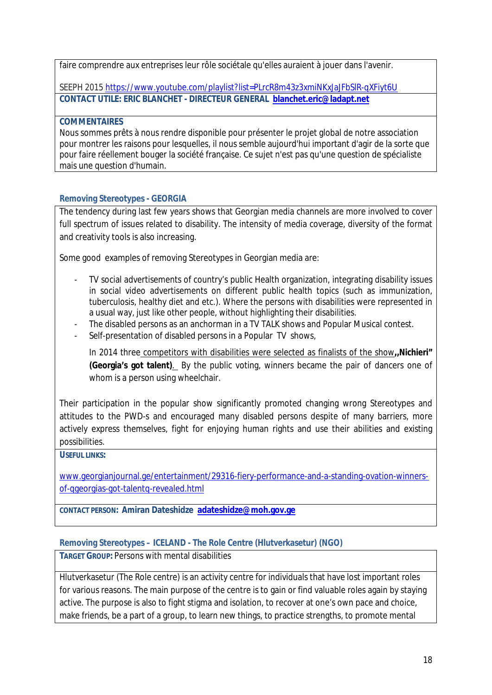faire comprendre aux entreprises leur rôle sociétale qu'elles auraient à jouer dans l'avenir.

SEEPH 2015 <https://www.youtube.com/playlist?list=PLrcR8m43z3xmiNKxJaJFbSlR-qXFiyt6U> **CONTACT UTILE: ERIC BLANCHET - DIRECTEUR GENERAL [blanchet.eric@ladapt.net](mailto:blanchet.eric@ladapt.net)**

**COMMENTAIRES**

Nous sommes prêts à nous rendre disponible pour présenter le projet global de notre association pour montrer les raisons pour lesquelles, il nous semble aujourd'hui important d'agir de la sorte que pour faire réellement bouger la société française. Ce sujet n'est pas qu'une question de spécialiste mais une question d'humain.

#### <span id="page-17-0"></span>**Removing Stereotypes - GEORGIA**

The tendency during last few years shows that Georgian media channels are more involved to cover full spectrum of issues related to disability. The intensity of media coverage, diversity of the format and creativity tools is also increasing.

Some good examples of removing Stereotypes in Georgian media are:

- TV social advertisements of country's public Health organization, integrating disability issues in social video advertisements on different public health topics (such as [immunization,](https://www.youtube.com/watch?v=sijP4hMeauU) [tuberculosis](http://91.239.206.167/~ncdcge/index.php?do=fullmod/videogallery&id=68&mid=159), [healthy](https://www.youtube.com/watch?v=2LjARv4mXKM) diet and [etc](https://www.youtube.com/watch?v=O3gZK9ipIeY).). Where the persons with disabilities were represented in a usual way, just like other people, without highlighting their disabilities.
- The disabled persons as an anchorman in a TV TALK shows and Popular Musical contest.
- Self-presentation of disabled persons in a Popular TV shows,

In 2014 three competitors with disabilities were selected as finalists of the show**,,Nichieri" (Georgia's got talent)**. By the public voting, winners became the pair of dancers one of whom is a person using wheelchair.

Their participation in the popular show significantly promoted changing wrong Stereotypes and attitudes to the PWD-s and encouraged many disabled persons despite of many barriers, more actively express themselves, fight for enjoying human rights and use their abilities and existing possibilities.

**USEFUL LINKS:**

[www.georgianjournal.ge/entertainment/29316-fiery-performance-and-a-standing-ovation-winners](http://www.georgianjournal.ge/entertainment/29316-fiery-performance-and-a-standing-ovation-winners-of-qgeorgias-got-talentq-revealed.html)[of-qgeorgias-got-talentq-revealed.html](http://www.georgianjournal.ge/entertainment/29316-fiery-performance-and-a-standing-ovation-winners-of-qgeorgias-got-talentq-revealed.html)

**CONTACT PERSON: Amiran Dateshidze [adateshidze@moh.gov.ge](mailto:adateshidze@moh.gov.ge)**

<span id="page-17-1"></span>**Removing Stereotypes – ICELAND - The Role Centre (Hlutverkasetur) (NGO)**

**TARGET GROUP:** Persons with mental disabilities

Hlutverkasetur (The Role centre) is an activity centre for individuals that have lost important roles for various reasons. The main purpose of the centre is to gain or find valuable roles again by staying active. The purpose is also to fight stigma and isolation, to recover at one's own pace and choice, make friends, be a part of a group, to learn new things, to practice strengths, to promote mental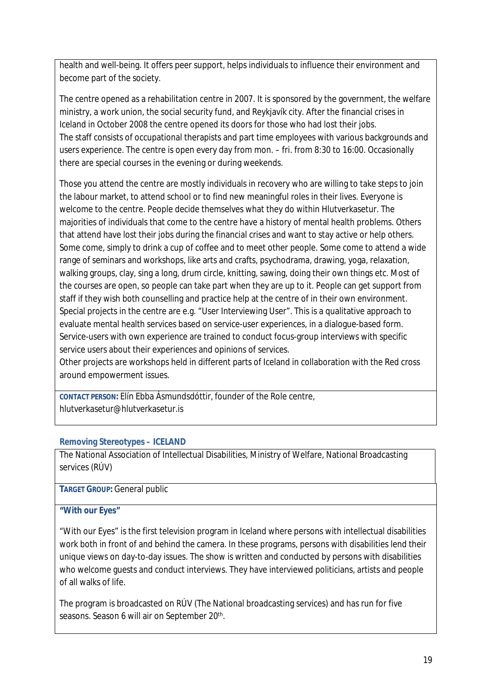health and well-being. It offers peer support, helps individuals to influence their environment and become part of the society.

The centre opened as a rehabilitation centre in 2007. It is sponsored by the government, the welfare ministry, a work union, the social security fund, and Reykjavík city. After the financial crises in Iceland in October 2008 the centre opened its doors for those who had lost their jobs. The staff consists of occupational therapists and part time employees with various backgrounds and users experience. The centre is open every day from mon. – fri. from 8:30 to 16:00. Occasionally there are special courses in the evening or during weekends.

Those you attend the centre are mostly individuals in recovery who are willing to take steps to join the labour market, to attend school or to find new meaningful roles in their lives. Everyone is welcome to the centre. People decide themselves what they do within Hlutverkasetur. The majorities of individuals that come to the centre have a history of mental health problems. Others that attend have lost their jobs during the financial crises and want to stay active or help others. Some come, simply to drink a cup of coffee and to meet other people. Some come to attend a wide range of seminars and workshops, like arts and crafts, psychodrama, drawing, yoga, relaxation, walking groups, clay, sing a long, drum circle, knitting, sawing, doing their own things etc. Most of the courses are open, so people can take part when they are up to it. People can get support from staff if they wish both counselling and practice help at the centre of in their own environment. Special projects in the centre are e.g. "User Interviewing User". This is a qualitative approach to evaluate mental health services based on service-user experiences, in a dialogue-based form. Service-users with own experience are trained to conduct focus-group interviews with specific service users about their experiences and opinions of services.

Other projects are workshops held in different parts of Iceland in collaboration with the Red cross around empowerment issues.

**CONTACT PERSON:** Elín Ebba Ásmundsdóttir, founder of the Role centre, hlutverkasetur@hlutverkasetur.is

#### <span id="page-18-0"></span>**Removing Stereotypes – ICELAND**

The National Association of Intellectual Disabilities, Ministry of Welfare, National Broadcasting services (RÚV)

#### **TARGET GROUP:** General public

#### **"With our Eyes"**

"With our Eyes" is the first television program in Iceland where persons with intellectual disabilities work both in front of and behind the camera. In these programs, persons with disabilities lend their unique views on day-to-day issues. The show is written and conducted by persons with disabilities who welcome guests and conduct interviews. They have interviewed politicians, artists and people of all walks of life.

The program is broadcasted on RÚV (The National broadcasting services) and has run for five seasons. Season 6 will air on September 20<sup>th</sup>.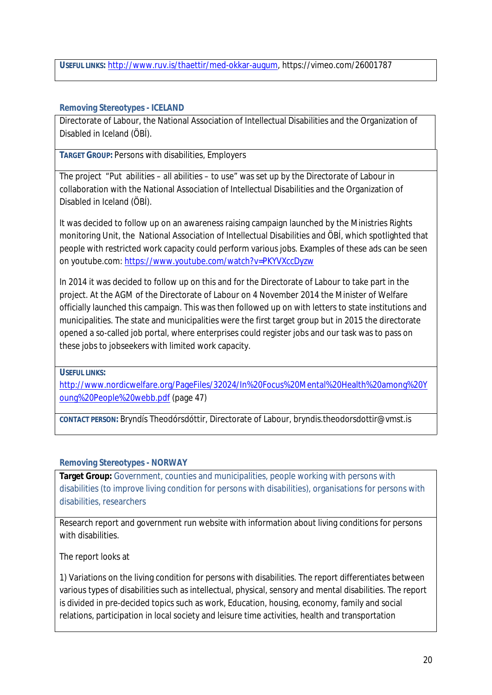**USEFUL LINKS:** <http://www.ruv.is/thaettir/med-okkar-augum>, https://vimeo.com/26001787

#### <span id="page-19-0"></span>**Removing Stereotypes - ICELAND**

Directorate of Labour, the National Association of Intellectual Disabilities and the Organization of Disabled in Iceland (ÖBÍ).

**TARGET GROUP:** Persons with disabilities, Employers

The project "Put abilities – all abilities – to use" was set up by the Directorate of Labour in collaboration with the National Association of Intellectual Disabilities and the Organization of Disabled in Iceland (ÖBÍ).

It was decided to follow up on an awareness raising campaign launched by the Ministries Rights monitoring Unit, the National Association of Intellectual Disabilities and ÖBÍ, which spotlighted that people with restricted work capacity could perform various jobs. Examples of these ads can be seen on youtube.com: <https://www.youtube.com/watch?v=PKYVXccDyzw>

In 2014 it was decided to follow up on this and for the Directorate of Labour to take part in the project. At the AGM of the Directorate of Labour on 4 November 2014 the Minister of Welfare officially launched this campaign. This was then followed up on with letters to state institutions and municipalities. The state and municipalities were the first target group but in 2015 the directorate opened a so-called job portal, where enterprises could register jobs and our task was to pass on these jobs to jobseekers with limited work capacity.

**USEFUL LINKS:**

[http://www.nordicwelfare.org/PageFiles/32024/In%20Focus%20Mental%20Health%20among%20Y](http://www.nordicwelfare.org/PageFiles/32024/In%20Focus%20Mental%20Health%20among%20Young%20People%20webb.pdf) [oung%20People%20webb.pdf](http://www.nordicwelfare.org/PageFiles/32024/In%20Focus%20Mental%20Health%20among%20Young%20People%20webb.pdf) (page 47)

**CONTACT PERSON:** Bryndís Theodórsdóttir, Directorate of Labour, [bryndis.theodorsdottir@vmst.is](mailto:bryndis.theodorsdottir@vmst.is)

<span id="page-19-1"></span>**Removing Stereotypes - NORWAY**

**Target Group:** Government, counties and municipalities, people working with persons with disabilities (to improve living condition for persons with disabilities), organisations for persons with disabilities, researchers

Research report and government run website with information about living conditions for persons with disabilities.

The report looks at

1) Variations on the living condition for persons with disabilities. The report differentiates between various types of disabilities such as intellectual, physical, sensory and mental disabilities. The report is divided in pre-decided topics such as work, Education, housing, economy, family and social relations, participation in local society and leisure time activities, health and transportation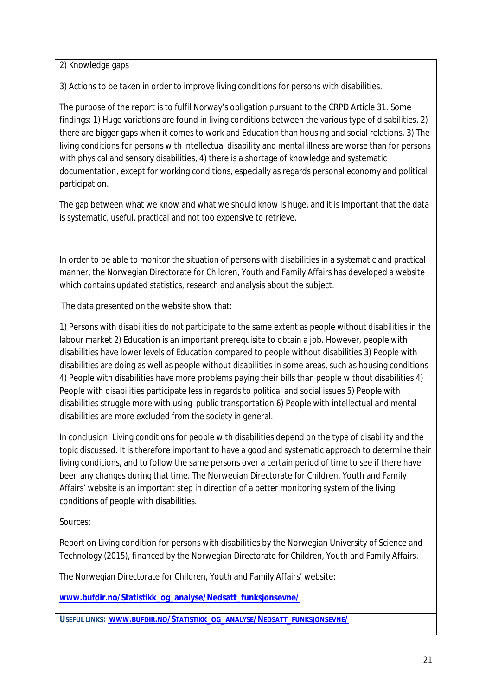2) Knowledge gaps

3) Actions to be taken in order to improve living conditions for persons with disabilities.

The purpose of the report is to fulfil Norway's obligation pursuant to the CRPD Article 31. Some findings: 1) Huge variations are found in living conditions between the various type of disabilities, 2) there are bigger gaps when it comes to work and Education than housing and social relations, 3) The living conditions for persons with intellectual disability and mental illness are worse than for persons with physical and sensory disabilities, 4) there is a shortage of knowledge and systematic documentation, except for working conditions, especially as regards personal economy and political participation.

The gap between what we know and what we should know is huge, and it is important that the data is systematic, useful, practical and not too expensive to retrieve.

In order to be able to monitor the situation of persons with disabilities in a systematic and practical manner, the Norwegian Directorate for Children, Youth and Family Affairs has developed a website which contains updated statistics, research and analysis about the subject.

The data presented on the website show that:

1) Persons with disabilities do not participate to the same extent as people without disabilities in the labour market 2) Education is an important prerequisite to obtain a job. However, people with disabilities have lower levels of Education compared to people without disabilities 3) People with disabilities are doing as well as people without disabilities in some areas, such as housing conditions 4) People with disabilities have more problems paying their bills than people without disabilities 4) People with disabilities participate less in regards to political and social issues 5) People with disabilities struggle more with using public transportation 6) People with intellectual and mental disabilities are more excluded from the society in general.

In conclusion: Living conditions for people with disabilities depend on the type of disability and the topic discussed. It is therefore important to have a good and systematic approach to determine their living conditions, and to follow the same persons over a certain period of time to see if there have been any changes during that time. The Norwegian Directorate for Children, Youth and Family Affairs' website is an important step in direction of a better monitoring system of the living conditions of people with disabilities.

Sources:

Report on Living condition for persons with disabilities by the Norwegian University of Science and Technology (2015), financed by the Norwegian Directorate for Children, Youth and Family Affairs.

The Norwegian Directorate for Children, Youth and Family Affairs' website:

**[www.bufdir.no/Statistikk\\_og\\_analyse/Nedsatt\\_funksjonsevne/](http://www.bufdir.no/Statistikk_og_analyse/Nedsatt_funksjonsevne/)**

**USEFUL LINKS: WWW.BUFDIR.NO/STATISTIKK\_OG\_ANALYSE/NEDSATT\_FUNKSJONSEVNE/**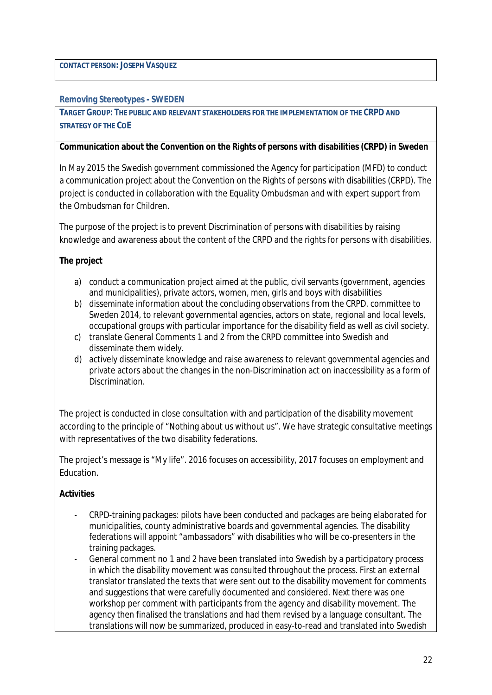**CONTACT PERSON: JOSEPH VASQUEZ**

<span id="page-21-0"></span>**Removing Stereotypes - SWEDEN**

**TARGET GROUP: THE PUBLIC AND RELEVANT STAKEHOLDERS FOR THE IMPLEMENTATION OF THE CRPD AND STRATEGY OF THE COE**

**Communication about the Convention on the Rights of persons with disabilities (CRPD) in Sweden**

In May 2015 the Swedish government commissioned the Agency for participation (MFD) to conduct a communication project about the Convention on the Rights of persons with disabilities (CRPD). The project is conducted in collaboration with the Equality Ombudsman and with expert support from the Ombudsman for Children.

The purpose of the project is to prevent Discrimination of persons with disabilities by raising knowledge and awareness about the content of the CRPD and the rights for persons with disabilities.

**The project**

- a) conduct a communication project aimed at the public, civil servants (government, agencies and municipalities), private actors, women, men, girls and boys with disabilities
- b) disseminate information about the concluding observations from the CRPD. committee to Sweden 2014, to relevant governmental agencies, actors on state, regional and local levels, occupational groups with particular importance for the disability field as well as civil society.
- c) translate General Comments 1 and 2 from the CRPD committee into Swedish and disseminate them widely.
- d) actively disseminate knowledge and raise awareness to relevant governmental agencies and private actors about the changes in the non-Discrimination act on inaccessibility as a form of Discrimination.

The project is conducted in close consultation with and participation of the disability movement according to the principle of "Nothing about us without us". We have strategic consultative meetings with representatives of the two disability federations.

The project's message is "My life". 2016 focuses on accessibility, 2017 focuses on employment and Education.

**Activities**

- CRPD-training packages: pilots have been conducted and packages are being elaborated for municipalities, county administrative boards and governmental agencies. The disability federations will appoint "ambassadors" with disabilities who will be co-presenters in the training packages.
- General comment no 1 and 2 have been translated into Swedish by a participatory process in which the disability movement was consulted throughout the process. First an external translator translated the texts that were sent out to the disability movement for comments and suggestions that were carefully documented and considered. Next there was one workshop per comment with participants from the agency and disability movement. The agency then finalised the translations and had them revised by a language consultant. The translations will now be summarized, produced in easy-to-read and translated into Swedish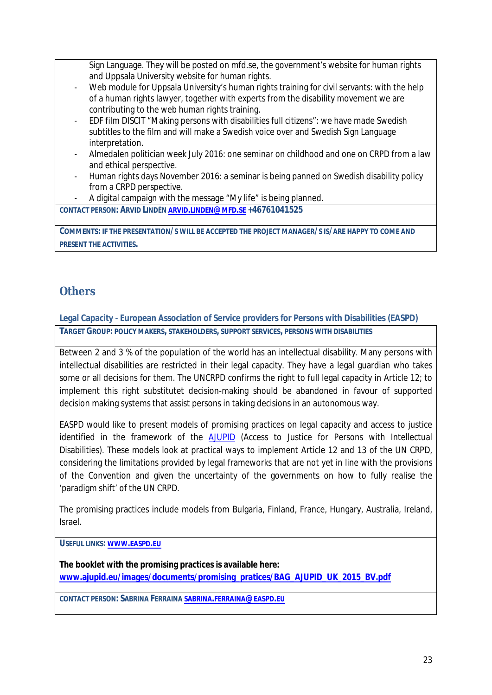Sign Language. They will be posted on mfd.se, the government's website for human rights and Uppsala University website for human rights.

- Web module for Uppsala University's human rights training for civil servants: with the help of a human rights lawyer, together with experts from the disability movement we are contributing to the web human rights training.
- EDF film DISCIT "Making persons with disabilities full citizens": we have made Swedish subtitles to the film and will make a Swedish voice over and Swedish Sign Language interpretation.
- Almedalen politician week July 2016: one seminar on childhood and one on CRPD from a law and ethical perspective.
- Human rights days November 2016: a seminar is being panned on Swedish disability policy from a CRPD perspective.
- A digital campaign with the message "My life" is being planned.

**CONTACT PERSON: ARVID LINDÉN ARVID.[LINDEN](mailto:arvid.linden@mfd.se)@MFD.SE +46761041525**

COMMENTS: IF THE PRESENTATION/S WILL BE ACCEPTED THE PROJECT MANAGER/S IS/ARE HAPPY TO COME AND **PRESENT THE ACTIVITIES.**

### <span id="page-22-0"></span>**Others**

<span id="page-22-1"></span>**Legal Capacity - European Association of Service providers for Persons with Disabilities (EASPD) TARGET GROUP: POLICY MAKERS, STAKEHOLDERS, SUPPORT SERVICES, PERSONS WITH DISABILITIES**

Between 2 and 3 % of the population of the world has an intellectual disability. Many persons with intellectual disabilities are restricted in their legal capacity. They have a legal guardian who takes some or all decisions for them. The UNCRPD confirms the right to full legal capacity in Article 12; to implement this right substitutet decision-making should be abandoned in favour of supported decision making systems that assist persons in taking decisions in an autonomous way.

EASPD would like to present models of promising practices on legal capacity and access to justice identified in the framework of the [AJUPID](http://www.ajupid.eu) (Access to Justice for Persons with Intellectual Disabilities). These models look at practical ways to implement Article 12 and 13 of the UN CRPD, considering the limitations provided by legal frameworks that are not yet in line with the provisions of the Convention and given the uncertainty of the governments on how to fully realise the 'paradigm shift' of the UN CRPD.

The promising practices include models from Bulgaria, Finland, France, Hungary, Australia, Ireland, Israel.

**USEFUL LINKS: WWW.[EASPD](http://www.easpd.eu).EU**

**The booklet with the promising practices is available here: [www.ajupid.eu/images/documents/promising\\_pratices/BAG\\_AJUPID\\_UK\\_2015\\_BV.pdf](http://www.ajupid.eu/images/documents/promising_pratices/BAG_AJUPID_UK_2015_BV.pdf)**

**CONTACT PERSON: SABRINA FERRAINA SABRINA.[FERRAINA](mailto:sabrina.ferraina@easpd.eu)@EASPD.EU**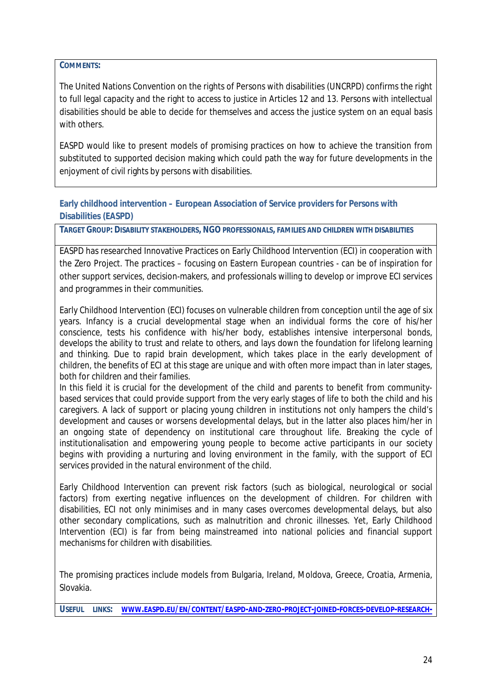**COMMENTS:**

The United Nations Convention on the rights of Persons with disabilities (UNCRPD) confirms the right to full legal capacity and the right to access to justice in Articles 12 and 13. Persons with intellectual disabilities should be able to decide for themselves and access the justice system on an equal basis with others.

EASPD would like to present models of promising practices on how to achieve the transition from substituted to supported decision making which could path the way for future developments in the enjoyment of civil rights by persons with disabilities.

<span id="page-23-0"></span>**Early childhood intervention – European Association of Service providers for Persons with Disabilities (EASPD)**

**TARGET GROUP: DISABILITY STAKEHOLDERS, NGO PROFESSIONALS, FAMILIES AND CHILDREN WITH DISABILITIES**

EASPD has researched Innovative Practices on Early Childhood Intervention (ECI) in cooperation with the Zero Project. The practices – focusing on Eastern European countries - can be of inspiration for other support services, decision-makers, and professionals willing to develop or improve ECI services and programmes in their communities.

Early Childhood Intervention (ECI) focuses on vulnerable children from conception until the age of six years. Infancy is a crucial developmental stage when an individual forms the core of his/her conscience, tests his confidence with his/her body, establishes intensive interpersonal bonds, develops the ability to trust and relate to others, and lays down the foundation for lifelong learning and thinking. Due to rapid brain development, which takes place in the early development of children, the benefits of ECI at this stage are unique and with often more impact than in later stages, both for children and their families.

In this field it is crucial for the development of the child and parents to benefit from communitybased services that could provide support from the very early stages of life to both the child and his caregivers. A lack of support or placing young children in institutions not only hampers the child's development and causes or worsens developmental delays, but in the latter also places him/her in an ongoing state of dependency on institutional care throughout life. Breaking the cycle of institutionalisation and empowering young people to become active participants in our society begins with providing a nurturing and loving environment in the family, with the support of ECI services provided in the natural environment of the child.

Early Childhood Intervention can prevent risk factors (such as biological, neurological or social factors) from exerting negative influences on the development of children. For children with disabilities, ECI not only minimises and in many cases overcomes developmental delays, but also other secondary complications, such as malnutrition and chronic illnesses. Yet, Early Childhood Intervention (ECI) is far from being mainstreamed into national policies and financial support mechanisms for children with disabilities.

The promising practices include models from Bulgaria, Ireland, Moldova, Greece, Croatia, Armenia, Slovakia.

USEFUL LINKS: WWW.EASPD.EU/EN/CONTENT/EASPD-AND-ZERO-PROJECT-JOINED-FORCES-DEVELOP-[RESEARCH](http://www.easpd.eu/en/content/easpd-and-zero-project-joined-forces-develop-research-and-exchange-knowledge)-